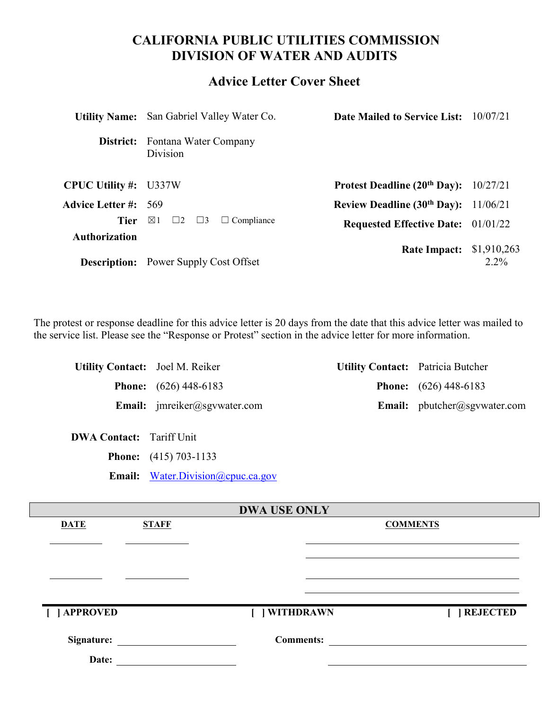# **CALIFORNIA PUBLIC UTILITIES COMMISSION DIVISION OF WATER AND AUDITS**

# **Advice Letter Cover Sheet**

|                              | <b>Utility Name:</b> San Gabriel Valley Water Co.     | <b>Date Mailed to Service List:</b> 10/07/21 |                        |
|------------------------------|-------------------------------------------------------|----------------------------------------------|------------------------|
|                              | <b>District:</b> Fontana Water Company<br>Division    |                                              |                        |
| <b>CPUC Utility #:</b> U337W |                                                       | Protest Deadline $(20th Day): 10/27/21$      |                        |
| <b>Advice Letter #:</b> 569  |                                                       | Review Deadline $(30th$ Day): $11/06/21$     |                        |
| Tier                         | $\boxtimes$ 1<br>$\Box 2 \Box 3$<br>$\Box$ Compliance | <b>Requested Effective Date:</b> 01/01/22    |                        |
| <b>Authorization</b>         | <b>Description:</b> Power Supply Cost Offset          | <b>Rate Impact:</b>                          | \$1,910,263<br>$2.2\%$ |

The protest or response deadline for this advice letter is 20 days from the date that this advice letter was mailed to the service list. Please see the "Response or Protest" section in the advice letter for more information.

| <b>Utility Contact:</b> Joel M. Reiker |                                                      | <b>Utility Contact:</b> Patricia Butcher |
|----------------------------------------|------------------------------------------------------|------------------------------------------|
|                                        | <b>Phone:</b> $(626)$ 448-6183                       | <b>Phone:</b> $(626)$ 448-6183           |
|                                        | <b>Email:</b> $\text{imreiker}(\omega)$ sgywater.com | <b>Email:</b> pbutcher@sgvwater.com      |

| Tariff Unit |
|-------------|
|             |

**Phone:** (415) 703-1133

Email: [Water.Division@cpuc.ca.gov](mailto:Water.Division@cpuc.ca.gov)

| <b>DWA USE ONLY</b> |              |                  |                 |  |
|---------------------|--------------|------------------|-----------------|--|
| <b>DATE</b>         | <b>STAFF</b> |                  | <b>COMMENTS</b> |  |
|                     |              |                  |                 |  |
|                     |              |                  |                 |  |
|                     |              |                  |                 |  |
|                     |              |                  |                 |  |
|                     |              |                  |                 |  |
| [ ] APPROVED        |              | [ ] WITHDRAWN    | [ ] REJECTED    |  |
| Signature:          |              | <b>Comments:</b> |                 |  |
| Date:               |              |                  |                 |  |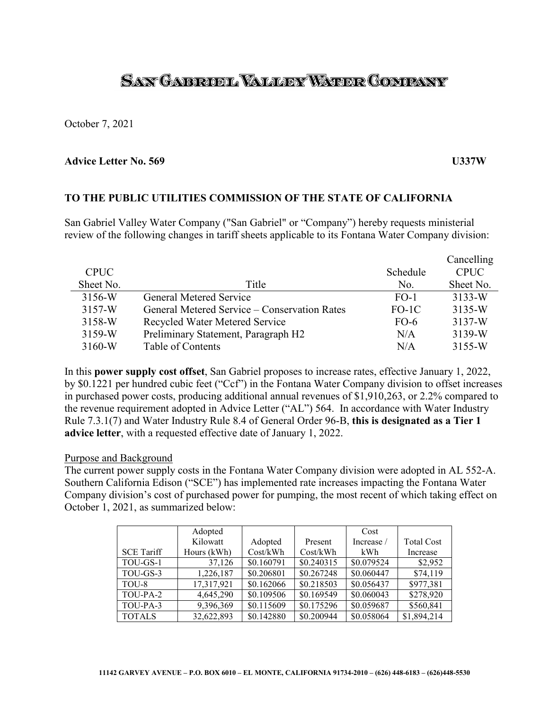# SAN GABRUEL VALLEY WATER COMPANY

October 7, 2021

#### **Advice Letter No. 569 U337W**

### **TO THE PUBLIC UTILITIES COMMISSION OF THE STATE OF CALIFORNIA**

San Gabriel Valley Water Company ("San Gabriel" or "Company") hereby requests ministerial review of the following changes in tariff sheets applicable to its Fontana Water Company division:

|             |                                              |          | Cancelling  |
|-------------|----------------------------------------------|----------|-------------|
| <b>CPUC</b> |                                              | Schedule | <b>CPUC</b> |
| Sheet No.   | Title                                        | No.      | Sheet No.   |
| 3156-W      | General Metered Service                      | $FO-1$   | $3133-W$    |
| 3157-W      | General Metered Service – Conservation Rates | $FO-1C$  | 3135-W      |
| 3158-W      | Recycled Water Metered Service               | $FO-6$   | 3137-W      |
| 3159-W      | Preliminary Statement, Paragraph H2          | N/A      | 3139-W      |
| $3160-W$    | Table of Contents                            | N/A      | 3155-W      |

In this **power supply cost offset**, San Gabriel proposes to increase rates, effective January 1, 2022, by \$0.1221 per hundred cubic feet ("Ccf") in the Fontana Water Company division to offset increases in purchased power costs, producing additional annual revenues of \$1,910,263, or 2.2% compared to the revenue requirement adopted in Advice Letter ("AL") 564. In accordance with Water Industry Rule 7.3.1(7) and Water Industry Rule 8.4 of General Order 96-B, **this is designated as a Tier 1 advice letter**, with a requested effective date of January 1, 2022.

#### Purpose and Background

The current power supply costs in the Fontana Water Company division were adopted in AL 552-A. Southern California Edison ("SCE") has implemented rate increases impacting the Fontana Water Company division's cost of purchased power for pumping, the most recent of which taking effect on October 1, 2021, as summarized below:

|                   | Adopted     |            |            | Cost       |                   |
|-------------------|-------------|------------|------------|------------|-------------------|
|                   | Kilowatt    | Adopted    | Present    | Increase / | <b>Total Cost</b> |
| <b>SCE Tariff</b> | Hours (kWh) | Cost/kWh   | Cost/kWh   | kWh        | Increase          |
| TOU-GS-1          | 37,126      | \$0.160791 | \$0.240315 | \$0.079524 | \$2,952           |
| TOU-GS-3          | 1,226,187   | \$0.206801 | \$0.267248 | \$0.060447 | \$74,119          |
| TOU-8             | 17,317,921  | \$0.162066 | \$0.218503 | \$0.056437 | \$977,381         |
| TOU-PA-2          | 4,645,290   | \$0.109506 | \$0.169549 | \$0.060043 | \$278,920         |
| TOU-PA-3          | 9,396,369   | \$0.115609 | \$0.175296 | \$0.059687 | \$560,841         |
| <b>TOTALS</b>     | 32,622,893  | \$0.142880 | \$0.200944 | \$0.058064 | \$1,894,214       |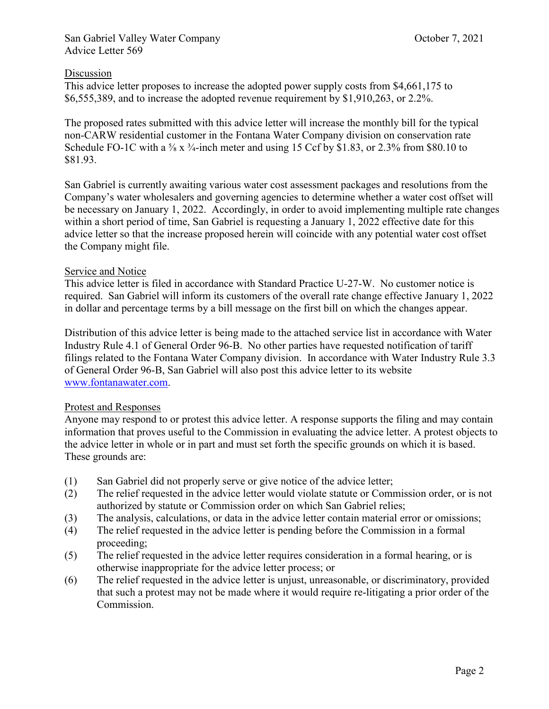# San Gabriel Valley Water Company Coroler 7, 2021 Advice Letter 569

# Discussion

This advice letter proposes to increase the adopted power supply costs from \$4,661,175 to \$6,555,389, and to increase the adopted revenue requirement by \$1,910,263, or 2.2%.

The proposed rates submitted with this advice letter will increase the monthly bill for the typical non-CARW residential customer in the Fontana Water Company division on conservation rate Schedule FO-1C with a <sup>5</sup>/<sub>8</sub> x <sup>3</sup>/<sub>4</sub>-inch meter and using 15 Ccf by \$1.83, or 2.3% from \$80.10 to \$81.93.

San Gabriel is currently awaiting various water cost assessment packages and resolutions from the Company's water wholesalers and governing agencies to determine whether a water cost offset will be necessary on January 1, 2022. Accordingly, in order to avoid implementing multiple rate changes within a short period of time, San Gabriel is requesting a January 1, 2022 effective date for this advice letter so that the increase proposed herein will coincide with any potential water cost offset the Company might file.

## Service and Notice

This advice letter is filed in accordance with Standard Practice U-27-W. No customer notice is required. San Gabriel will inform its customers of the overall rate change effective January 1, 2022 in dollar and percentage terms by a bill message on the first bill on which the changes appear.

Distribution of this advice letter is being made to the attached service list in accordance with Water Industry Rule 4.1 of General Order 96-B. No other parties have requested notification of tariff filings related to the Fontana Water Company division. In accordance with Water Industry Rule 3.3 of General Order 96-B, San Gabriel will also post this advice letter to its website [www.fontanawater.com.](http://www.fontanawater.com/)

# Protest and Responses

Anyone may respond to or protest this advice letter. A response supports the filing and may contain information that proves useful to the Commission in evaluating the advice letter. A protest objects to the advice letter in whole or in part and must set forth the specific grounds on which it is based. These grounds are:

- (1) San Gabriel did not properly serve or give notice of the advice letter;
- (2) The relief requested in the advice letter would violate statute or Commission order, or is not authorized by statute or Commission order on which San Gabriel relies;
- (3) The analysis, calculations, or data in the advice letter contain material error or omissions;
- (4) The relief requested in the advice letter is pending before the Commission in a formal proceeding;
- (5) The relief requested in the advice letter requires consideration in a formal hearing, or is otherwise inappropriate for the advice letter process; or
- (6) The relief requested in the advice letter is unjust, unreasonable, or discriminatory, provided that such a protest may not be made where it would require re-litigating a prior order of the Commission.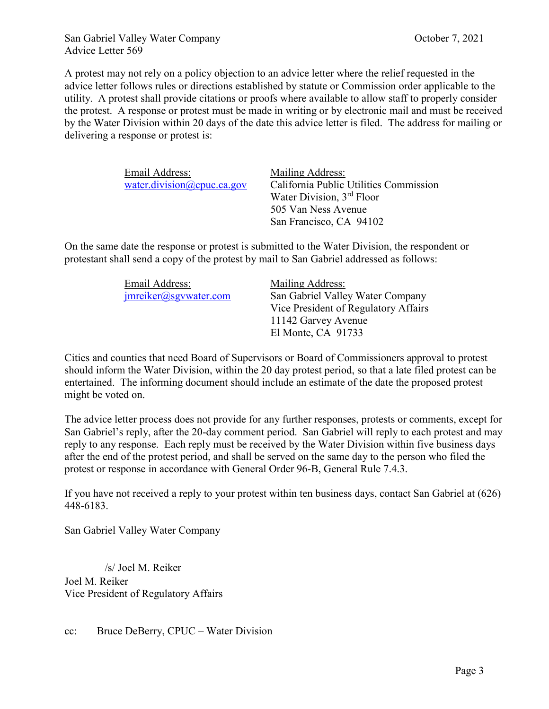A protest may not rely on a policy objection to an advice letter where the relief requested in the advice letter follows rules or directions established by statute or Commission order applicable to the utility. A protest shall provide citations or proofs where available to allow staff to properly consider the protest. A response or protest must be made in writing or by electronic mail and must be received by the Water Division within 20 days of the date this advice letter is filed. The address for mailing or delivering a response or protest is:

| Email Address:             | Mailing Address:                       |
|----------------------------|----------------------------------------|
| water.division@cpuc.ca.gov | California Public Utilities Commission |
|                            | Water Division, 3rd Floor              |
|                            | 505 Van Ness Avenue                    |
|                            | San Francisco, CA 94102                |

On the same date the response or protest is submitted to the Water Division, the respondent or protestant shall send a copy of the protest by mail to San Gabriel addressed as follows:

| Email Address:        | Mailing Address:                     |
|-----------------------|--------------------------------------|
| imreiker@sgvwater.com | San Gabriel Valley Water Company     |
|                       | Vice President of Regulatory Affairs |
|                       | 11142 Garvey Avenue                  |
|                       | El Monte, CA 91733                   |

Cities and counties that need Board of Supervisors or Board of Commissioners approval to protest should inform the Water Division, within the 20 day protest period, so that a late filed protest can be entertained. The informing document should include an estimate of the date the proposed protest might be voted on.

The advice letter process does not provide for any further responses, protests or comments, except for San Gabriel's reply, after the 20-day comment period. San Gabriel will reply to each protest and may reply to any response. Each reply must be received by the Water Division within five business days after the end of the protest period, and shall be served on the same day to the person who filed the protest or response in accordance with General Order 96-B, General Rule 7.4.3.

If you have not received a reply to your protest within ten business days, contact San Gabriel at (626) 448-6183.

San Gabriel Valley Water Company

/s/ Joel M. Reiker

Joel M. Reiker Vice President of Regulatory Affairs

cc: Bruce DeBerry, CPUC – Water Division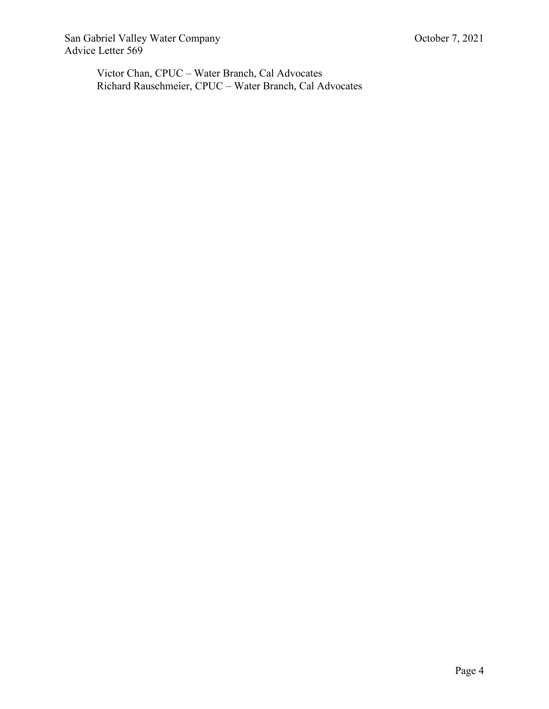San Gabriel Valley Water Company Contract Company Conservation Company Conservation Company Advice Letter 569

Victor Chan, CPUC – Water Branch, Cal Advocates Richard Rauschmeier, CPUC – Water Branch, Cal Advocates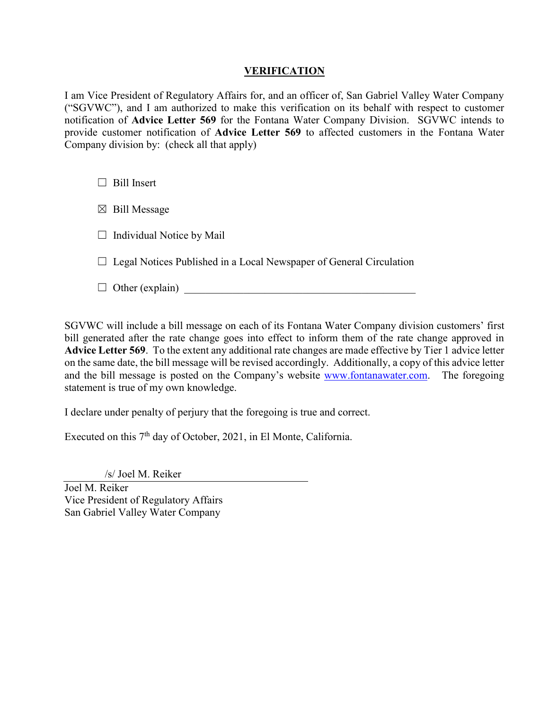## **VERIFICATION**

I am Vice President of Regulatory Affairs for, and an officer of, San Gabriel Valley Water Company ("SGVWC"), and I am authorized to make this verification on its behalf with respect to customer notification of **Advice Letter 569** for the Fontana Water Company Division. SGVWC intends to provide customer notification of **Advice Letter 569** to affected customers in the Fontana Water Company division by: (check all that apply)

□ Bill Insert

 $\boxtimes$  Bill Message

 $\Box$  Individual Notice by Mail

 $\Box$  Legal Notices Published in a Local Newspaper of General Circulation

 $\Box$  Other (explain)

SGVWC will include a bill message on each of its Fontana Water Company division customers' first bill generated after the rate change goes into effect to inform them of the rate change approved in **Advice Letter 569**. To the extent any additional rate changes are made effective by Tier 1 advice letter on the same date, the bill message will be revised accordingly. Additionally, a copy of this advice letter and the bill message is posted on the Company's website [www.fontanawater.com.](http://www.fontanawater.com/) The foregoing statement is true of my own knowledge.

I declare under penalty of perjury that the foregoing is true and correct.

Executed on this 7<sup>th</sup> day of October, 2021, in El Monte, California.

/s/ Joel M. Reiker

Joel M. Reiker Vice President of Regulatory Affairs San Gabriel Valley Water Company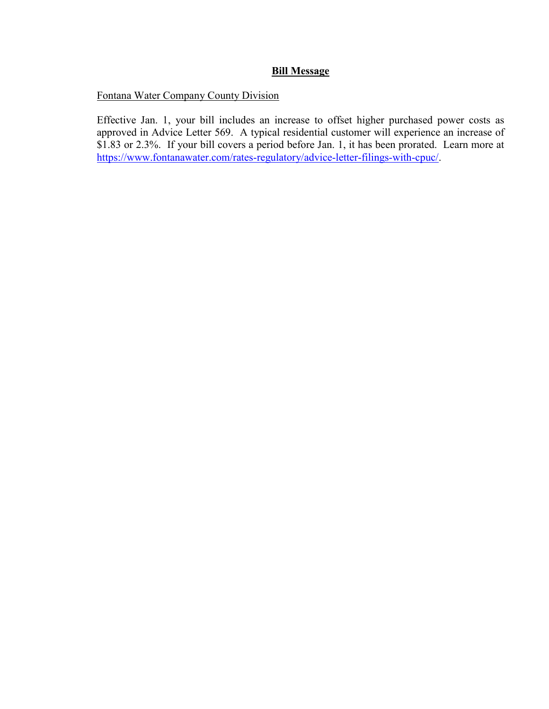# **Bill Message**

Fontana Water Company County Division

Effective Jan. 1, your bill includes an increase to offset higher purchased power costs as approved in Advice Letter 569. A typical residential customer will experience an increase of \$1.83 or 2.3%. If your bill covers a period before Jan. 1, it has been prorated. Learn more at [https://www.fontanawater.com/rates-regulatory/advice-letter-filings-with-cpuc/.](https://www.fontanawater.com/rates-regulatory/advice-letter-filings-with-cpuc/)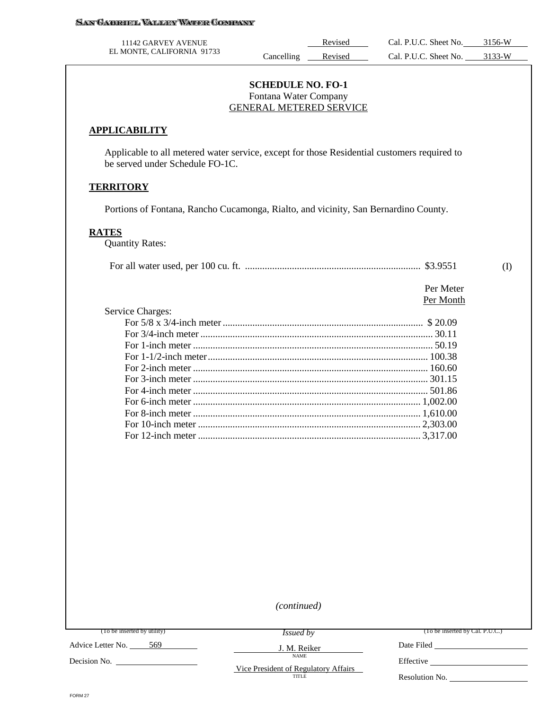| 11142 GARVEY AVENUE        |           | Revised | Cal. P.U.C. Sheet No. | 3156-W |
|----------------------------|-----------|---------|-----------------------|--------|
| EL MONTE, CALIFORNIA 91733 | ancelling | Revised | Cal. P.U.C. Sheet No. | 3133-W |

#### **SCHEDULE NO. FO-1** Fontana Water Company GENERAL METERED SERVICE

#### **APPLICABILITY**

Applicable to all metered water service, except for those Residential customers required to be served under Schedule FO-1C.

#### **TERRITORY**

Portions of Fontana, Rancho Cucamonga, Rialto, and vicinity, San Bernardino County.

#### **RATES**

Quantity Rates:

|--|--|--|--|

 Per Meter Per Month

| Service Charges: |  |
|------------------|--|
|                  |  |
|                  |  |
|                  |  |
|                  |  |
|                  |  |
|                  |  |
|                  |  |
|                  |  |
|                  |  |
|                  |  |
|                  |  |

*(continued)*

(To be inserted by utility)

*Issued by*

J. M. Reiker NAME

(To be inserted by Cal. P.U.C.)

Advice Letter No. \_\_\_\_\_ 569

Decision No.

Vice President of Regulatory Affairs TITLE

Effective

Date Filed

Resolution No.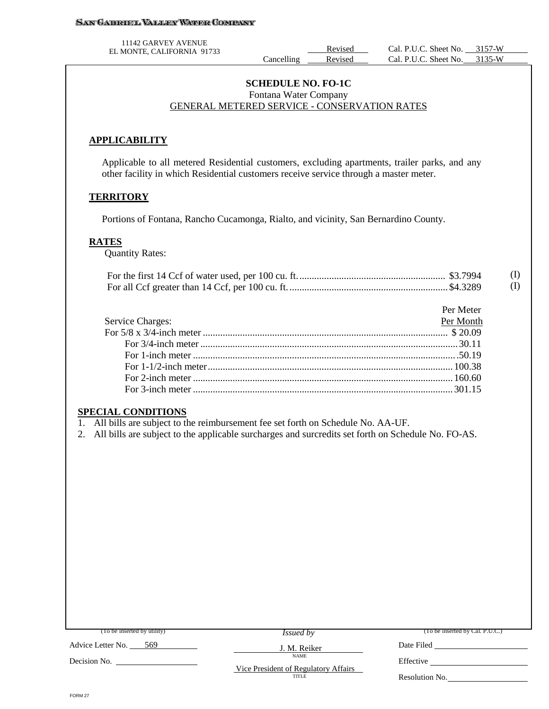#### **SAN GABRUEL VALLEY WATER CONTRANY**

11142 GARVEY AVENUE

#### **SCHEDULE NO. FO-1C** Fontana Water Company GENERAL METERED SERVICE - CONSERVATION RATES

### **APPLICABILITY**

Applicable to all metered Residential customers, excluding apartments, trailer parks, and any other facility in which Residential customers receive service through a master meter.

#### **TERRITORY**

Portions of Fontana, Rancho Cucamonga, Rialto, and vicinity, San Bernardino County.

#### **RATES**

Quantity Rates:

|  | (I)      |
|--|----------|
|  | $\rm(I)$ |

|                                 | Per Meter |
|---------------------------------|-----------|
| <b>Service Charges:</b>         | Per Month |
|                                 |           |
|                                 |           |
| For 1-inch meter $\ldots$ 50.19 |           |
|                                 |           |
|                                 |           |
|                                 |           |

#### **SPECIAL CONDITIONS**

1. All bills are subject to the reimbursement fee set forth on Schedule No. AA-UF.

2. All bills are subject to the applicable surcharges and surcredits set forth on Schedule No. FO-AS.

| (To be inserted by utility) | <i>Issued by</i>                                     | (To be inserted by Cal. P.U.C.) |
|-----------------------------|------------------------------------------------------|---------------------------------|
| Advice Letter No.<br>- 569  | J. M. Reiker                                         | Date Filed                      |
| Decision No.                | <b>NAME</b>                                          | Effective                       |
|                             | Vice President of Regulatory Affairs<br><b>TITLE</b> | Resolution No.                  |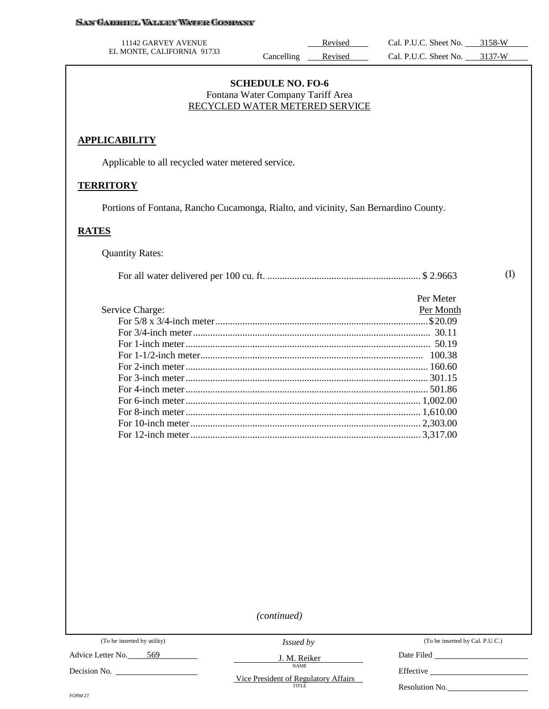#### SAN GABRUEL VALLEY WATER COMPANY

| 11142 GARVEY AVENUE        |           | Revised | Cal. P.U.C. Sheet No. | 3158-W              |
|----------------------------|-----------|---------|-----------------------|---------------------|
| EL MONTE, CALIFORNIA 91733 | ancelling | Revised | Cal. P.U.C. Sheet No. | 3137 <sub>-</sub> W |

### **SCHEDULE NO. FO-6** Fontana Water Company Tariff Area RECYCLED WATER METERED SERVICE

#### **APPLICABILITY**

Applicable to all recycled water metered service.

#### **TERRITORY**

Portions of Fontana, Rancho Cucamonga, Rialto, and vicinity, San Bernardino County.

#### **RATES**

Quantity Rates:

|                 | Per Meter |
|-----------------|-----------|
| Service Charge: | Per Month |
|                 |           |
|                 |           |
|                 |           |
|                 |           |
|                 |           |
|                 |           |
|                 |           |
|                 |           |
|                 |           |
|                 |           |
|                 |           |

*(continued)*

(To be inserted by utility)

 $\mathcal{L}_{\mathcal{A}}$ 

Advice Letter No. 569

Decision No.

*Issued by* J. M. Reiker

NAME Vice President of Regulatory Affairs (To be inserted by Cal. P.U.C.)

(I)

Date Filed **Date** Filed

Effective \_\_\_\_\_\_

Resolution No.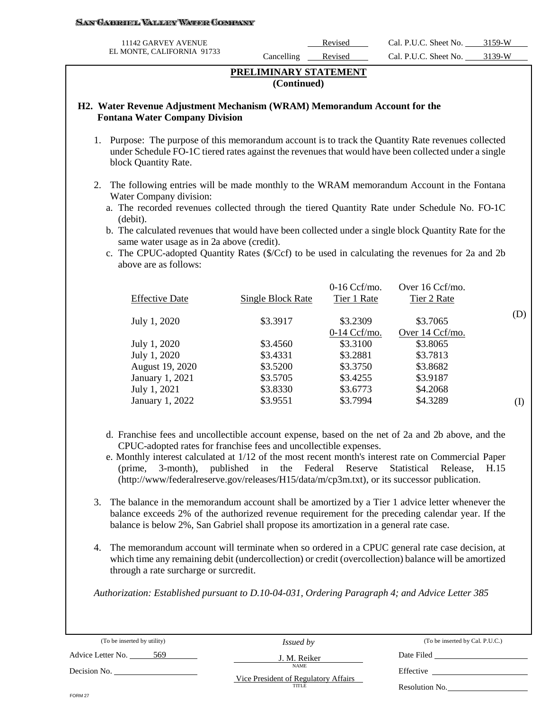#### SAN GABRIEL VALLEY WATER COMPANY

| 11142 GARVEY AVENUE        |           | Revised | Cal. P.U.C. Sheet No. | 3159.W |
|----------------------------|-----------|---------|-----------------------|--------|
| EL MONTE, CALIFORNIA 91733 | ancelling | Revised | Cal. P.U.C. Sheet No. | 3139.W |

#### **PRELIMINARY STATEMENT (Continued)**

#### **H2. Water Revenue Adjustment Mechanism (WRAM) Memorandum Account for the Fontana Water Company Division**

- 1. Purpose: The purpose of this memorandum account is to track the Quantity Rate revenues collected under Schedule FO-1C tiered rates against the revenues that would have been collected under a single block Quantity Rate.
- 2. The following entries will be made monthly to the WRAM memorandum Account in the Fontana Water Company division:
	- a. The recorded revenues collected through the tiered Quantity Rate under Schedule No. FO-1C (debit).
	- b. The calculated revenues that would have been collected under a single block Quantity Rate for the same water usage as in 2a above (credit).
	- c. The CPUC-adopted Quantity Rates (\$/Ccf) to be used in calculating the revenues for 2a and 2b above are as follows:

| <b>Effective Date</b> | Single Block Rate | $0-16$ Ccf/mo.<br>Tier 1 Rate | Over 16 Ccf/mo.<br>Tier 2 Rate |     |
|-----------------------|-------------------|-------------------------------|--------------------------------|-----|
| July 1, 2020          | \$3.3917          | \$3.2309                      | \$3.7065                       | (D) |
|                       |                   | $0-14$ Ccf/mo.                | Over 14 Ccf/mo.                |     |
| July 1, 2020          | \$3.4560          | \$3.3100                      | \$3.8065                       |     |
| July 1, 2020          | \$3.4331          | \$3.2881                      | \$3.7813                       |     |
| August 19, 2020       | \$3.5200          | \$3.3750                      | \$3.8682                       |     |
| January 1, 2021       | \$3.5705          | \$3.4255                      | \$3.9187                       |     |
| July 1, 2021          | \$3.8330          | \$3.6773                      | \$4.2068                       |     |
| January 1, 2022       | \$3.9551          | \$3.7994                      | \$4.3289                       | (I) |

- d. Franchise fees and uncollectible account expense, based on the net of 2a and 2b above, and the CPUC-adopted rates for franchise fees and uncollectible expenses.
- e. Monthly interest calculated at 1/12 of the most recent month's interest rate on Commercial Paper (prime, 3-month), published in the Federal Reserve Statistical Release, H.15 (http://www/federalreserve.gov/releases/H15/data/m/cp3m.txt), or its successor publication.
- 3. The balance in the memorandum account shall be amortized by a Tier 1 advice letter whenever the balance exceeds 2% of the authorized revenue requirement for the preceding calendar year. If the balance is below 2%, San Gabriel shall propose its amortization in a general rate case.
- 4. The memorandum account will terminate when so ordered in a CPUC general rate case decision, at which time any remaining debit (undercollection) or credit (overcollection) balance will be amortized through a rate surcharge or surcredit.

*Authorization: Established pursuant to D.10-04-031, Ordering Paragraph 4; and Advice Letter 385* 

| (To be inserted by utility) | <i>Issued by</i>                              | (To be inserted by Cal. P.U.C.) |
|-----------------------------|-----------------------------------------------|---------------------------------|
| 569<br>Advice Letter No.    | J. M. Reiker                                  | Date Filed                      |
| Decision No.                | <b>NAME</b>                                   | Effective                       |
|                             | Vice President of Regulatory Affairs<br>TITLE | Resolution No.                  |
| FORM 27                     |                                               |                                 |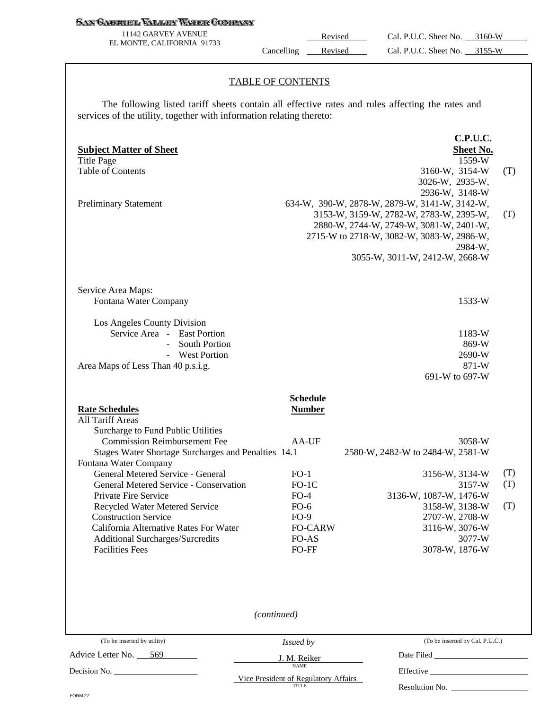#### **SAN GABRIEL VALLEY WATER COMPANY**

11142 GARVEY AVENUE EL MONTE, CALIFORNIA 91733

Revised Cal. P.U.C. Sheet No. 3160-W Cancelling Revised Cal. P.U.C. Sheet No. 3155-W

#### TABLE OF CONTENTS

The following listed tariff sheets contain all effective rates and rules affecting the rates and services of the utility, together with information relating thereto:

| <b>Subject Matter of Sheet</b><br><b>Title Page</b><br><b>Table of Contents</b><br><b>Preliminary Statement</b>                                                |                                                      | C.P.U.C.<br>Sheet No.<br>1559-W<br>3160-W, 3154-W<br>3026-W, 2935-W,<br>2936-W, 3148-W<br>634-W, 390-W, 2878-W, 2879-W, 3141-W, 3142-W,<br>3153-W, 3159-W, 2782-W, 2783-W, 2395-W,<br>2880-W, 2744-W, 2749-W, 3081-W, 2401-W,<br>2715-W to 2718-W, 3082-W, 3083-W, 2986-W,<br>2984-W, | (T)<br>(T)        |
|----------------------------------------------------------------------------------------------------------------------------------------------------------------|------------------------------------------------------|---------------------------------------------------------------------------------------------------------------------------------------------------------------------------------------------------------------------------------------------------------------------------------------|-------------------|
|                                                                                                                                                                |                                                      | 3055-W, 3011-W, 2412-W, 2668-W                                                                                                                                                                                                                                                        |                   |
| Service Area Maps:<br>Fontana Water Company                                                                                                                    |                                                      | 1533-W                                                                                                                                                                                                                                                                                |                   |
| Los Angeles County Division<br>Service Area - East Portion<br><b>South Portion</b><br>$\equiv$<br>- West Portion<br>Area Maps of Less Than 40 p.s.i.g.         |                                                      | 1183-W<br>869-W<br>2690-W<br>871-W<br>691-W to 697-W                                                                                                                                                                                                                                  |                   |
| <b>Rate Schedules</b><br>All Tariff Areas<br>Surcharge to Fund Public Utilities<br><b>Commission Reimbursement Fee</b>                                         | <b>Schedule</b><br><b>Number</b><br>AA-UF            | 3058-W                                                                                                                                                                                                                                                                                |                   |
| Stages Water Shortage Surcharges and Penalties 14.1                                                                                                            |                                                      | 2580-W, 2482-W to 2484-W, 2581-W                                                                                                                                                                                                                                                      |                   |
| Fontana Water Company<br>General Metered Service - General<br>General Metered Service - Conservation<br>Private Fire Service<br>Recycled Water Metered Service | $FO-1$<br>$FO-1C$<br>$FO-4$<br>$FO-6$                | 3156-W, 3134-W<br>3157-W<br>3136-W, 1087-W, 1476-W<br>3158-W, 3138-W                                                                                                                                                                                                                  | (T)<br>(T)<br>(T) |
| <b>Construction Service</b><br>California Alternative Rates For Water<br><b>Additional Surcharges/Surcredits</b><br><b>Facilities Fees</b>                     | $FO-9$<br><b>FO-CARW</b><br>FO-AS<br>FO-FF           | 2707-W, 2708-W<br>3116-W, 3076-W<br>3077-W<br>3078-W, 1876-W                                                                                                                                                                                                                          |                   |
|                                                                                                                                                                | (continued)                                          |                                                                                                                                                                                                                                                                                       |                   |
| (To be inserted by utility)                                                                                                                                    | Issued by                                            | (To be inserted by Cal. P.U.C.)                                                                                                                                                                                                                                                       |                   |
| Advice Letter No. 569                                                                                                                                          | J. M. Reiker                                         | Date Filed <b>National Property National Property National Property N</b>                                                                                                                                                                                                             |                   |
| Decision No. 1998.                                                                                                                                             | <b>NAME</b>                                          |                                                                                                                                                                                                                                                                                       |                   |
|                                                                                                                                                                | Vice President of Regulatory Affairs<br><b>TITLE</b> | Resolution No.                                                                                                                                                                                                                                                                        |                   |

FORM 27